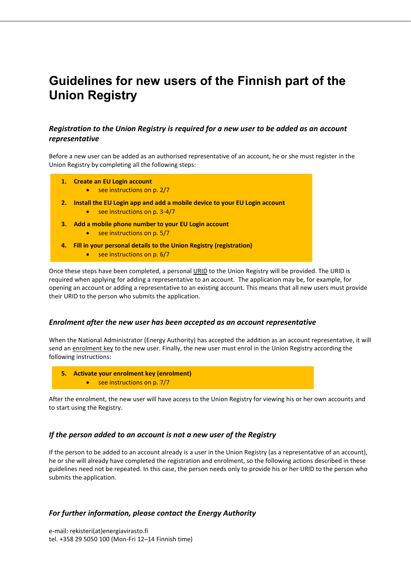# **Guidelines for new users of the Finnish part of the Union Registry**

### *Registration to the Union Registry is required for a new user to be added as an account representative*

Before a new user can be added as an authorised representative of an account, he or she must register in the Union Registry by completing all the following steps:

- **1. Create an EU Login account** 
	- see instructions on p. 2/7
- **2. Install the EU Login app and add a mobile device to your EU Login account** 
	- see instructions on p. 3-4/7
- **3. Add a mobile phone number to your EU Login account** 
	- see instructions on p. 5/7
- **4. Fill in your personal details to the Union Registry (registration)** see instructions on p. 6/7

Once these steps have been completed, a personal URID to the Union Registry will be provided. The URID is required when applying for adding a representative to an account. The application may be, for example, for opening an account or adding a representative to an existing account. This means that all new users must provide their URID to the person who submits the application.

### *Enrolment after the new user has been accepted as an account representative*

When the National Administrator (Energy Authority) has accepted the addition as an account representative, it will send an enrolment key to the new user. Finally, the new user must enrol in the Union Registry according the following instructions:

- **5. Activate your enrolment key (enrolment)**
	- see instructions on p. 7/7

After the enrolment, the new user will have access to the Union Registry for viewing his or her own accounts and to start using the Registry.

### *If the person added to an account is not a new user of the Registry*

If the person to be added to an account already is a user in the Union Registry (as a representative of an account), he or she will already have completed the registration and enrolment, so the following actions described in these guidelines need not be repeated. In this case, the person needs only to provide his or her URID to the person who submits the application.

### *For further information, please contact the Energy Authority*

e-mail: rekisteri(at)energiavirasto.fi tel. +358 29 5050 100 (Mon-Fri 12–14 Finnish time)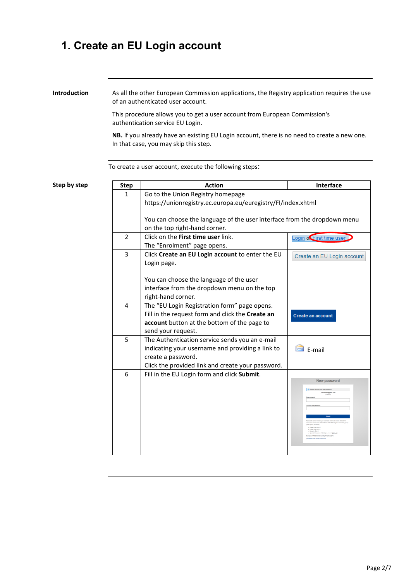## **1. Create an EU Login account**

**Introduction** As all the other European Commission applications, the Registry application requires the use of an authenticated user account.

> This procedure allows you to get a user account from European Commission's authentication service EU Login.

**NB.** If you already have an existing EU Login account, there is no need to create a new one. In that case, you may skip this step.

To create a user account, execute the following steps:

**Step by step Step Step Step Action Interface** 1 Go to the Union Registry homepage https://unionregistry.ec.europa.eu/euregistry/FI/index.xhtml You can choose the language of the user interface from the dropdown menu on the top right-hand corner. 2 Click on the **First time user** link. Login of First time user The "Enrolment" page opens. 3 Click **Create an EU Login account** to enter the EU Create an EU Login account Login page. You can choose the language of the user interface from the dropdown menu on the top right-hand corner. 4 | The "EU Login Registration form" page opens. Fill in the request form and click the **Create an**  Create an account **account** button at the bottom of the page to send your request. 5 The Authentication service sends you an e-mail indicating your username and providing a link to  $\blacksquare$  F-mail create a password. Click the provided link and create your password. 6 Fill in the EU Login form and click **Submit**.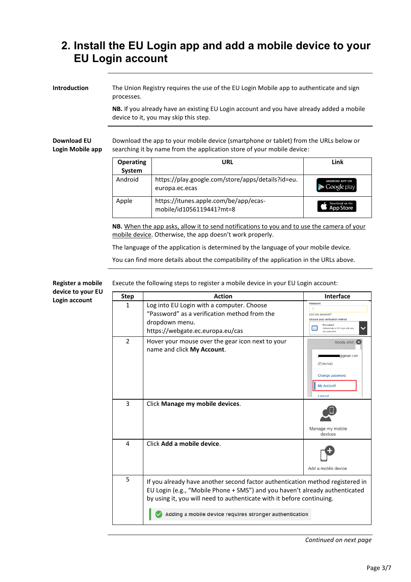## **2. Install the EU Login app and add a mobile device to your EU Login account**

**Introduction** The Union Registry requires the use of the EU Login Mobile app to authenticate and sign processes.

> **NB.** If you already have an existing EU Login account and you have already added a mobile device to it, you may skip this step.

**Download EU Login Mobile app** Download the app to your mobile device (smartphone or tablet) from the URLs below or searching it by name from the application store of your mobile device:

| <b>Operating</b><br>System | URL                                                                 | Link                                 |
|----------------------------|---------------------------------------------------------------------|--------------------------------------|
| Android                    | https://play.google.com/store/apps/details?id=eu.<br>europa.ec.ecas | <b>ANDROID APP ON</b><br>Google play |
| Apple                      | https://itunes.apple.com/be/app/ecas-<br>mobile/id1056119441?mt=8   | Download on the<br><b>App Store</b>  |

**NB.** When the app asks, allow it to send notifications to you and to use the camera of your mobile device. Otherwise, the app doesn't work properly.

The language of the application is determined by the language of your mobile device.

You can find more details about the compatibility of the application in the URLs above.

**Register a mobile device to your EU Login account**

Execute the following steps to register a mobile device in your EU Login account:

| <b>Step</b>   | <b>Action</b>                                                                                                                                                                                                                                                                                    | <b>Interface</b>                                                                                                                      |
|---------------|--------------------------------------------------------------------------------------------------------------------------------------------------------------------------------------------------------------------------------------------------------------------------------------------------|---------------------------------------------------------------------------------------------------------------------------------------|
| 1             | Log into EU Login with a computer. Choose<br>"Password" as a verification method from the<br>dropdown menu.<br>https://webgate.ec.europa.eu/cas                                                                                                                                                  | Password<br>Lost your password?<br>Choose your verification method<br>Password<br>Authenticate to EU Login with only<br>vour password |
| $\mathcal{P}$ | Hover your mouse over the gear icon next to your<br>name and click My Account.                                                                                                                                                                                                                   | Moody JANE<br>@gmail.com<br>(External)<br>Change password<br>My Account<br><b>Logout</b>                                              |
| 3             | Click Manage my mobile devices.                                                                                                                                                                                                                                                                  | Manage my mobile<br>devices                                                                                                           |
| 4             | Click Add a mobile device.                                                                                                                                                                                                                                                                       | Add a mobile device                                                                                                                   |
| 5             | If you already have another second factor authentication method registered in<br>EU Login (e.g., "Mobile Phone + SMS") and you haven't already authenticated<br>by using it, you will need to authenticate with it before continuing.<br>Adding a mobile device requires stronger authentication |                                                                                                                                       |

*Continued on next page*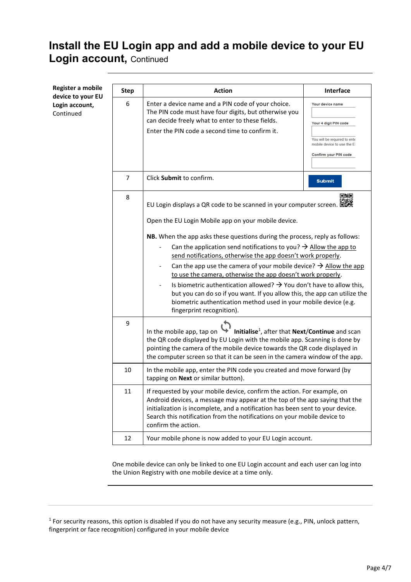## **Install the EU Login app and add a mobile device to your EU Login account,** Continued

**Register a mobile**   $\begin{array}{|c|c|c|}\hline \text{Step} & \text{Artion} & \text{Interface} \ \hline \end{array}$ **device to your EU**  6 Enter a device name and a PIN code of your choice. **Your device name Login account,** The PIN code must have four digits, but otherwise you Continued can decide freely what to enter to these fields. Your 4 digit PIN code Enter the PIN code a second time to confirm it. You will be required to ente mobile device to use the Et Confirm your PIN code 7 Click **Submit** to confirm. **Submit** 回涌回 8 EU Login displays a QR code to be scanned in your computer screen. 回避 Open the EU Login Mobile app on your mobile device. **NB.** When the app asks these questions during the process, reply as follows: Can the application send notifications to you?  $\rightarrow$  Allow the app to send notifications, otherwise the app doesn't work properly. Can the app use the camera of your mobile device?  $\rightarrow$  Allow the app to use the camera, otherwise the app doesn't work properly. Is biometric authentication allowed?  $\rightarrow$  You don't have to allow this, but you can do so if you want. If you allow this, the app can utilize the biometric authentication method used in your mobile device (e.g. fingerprint recognition). 9 , after that **Next**/**Continue** and scan In the mobile app, tap on the QR code displayed by EU Login with the mobile app. Scanning is done by pointing the camera of the mobile device towards the QR code displayed in the computer screen so that it can be seen in the camera window of the app. 10 In the mobile app, enter the PIN code you created and move forward (by tapping on **Next** or similar button). 11 | If requested by your mobile device, confirm the action. For example, on Android devices, a message may appear at the top of the app saying that the initialization is incomplete, and a notification has been sent to your device. Search this notification from the notifications on your mobile device to confirm the action. 12 | Your mobile phone is now added to your EU Login account.

> One mobile device can only be linked to one EU Login account and each user can log into the Union Registry with one mobile device at a time only.

 $1$  For security reasons, this option is disabled if you do not have any security measure (e.g., PIN, unlock pattern, fingerprint or face recognition) configured in your mobile device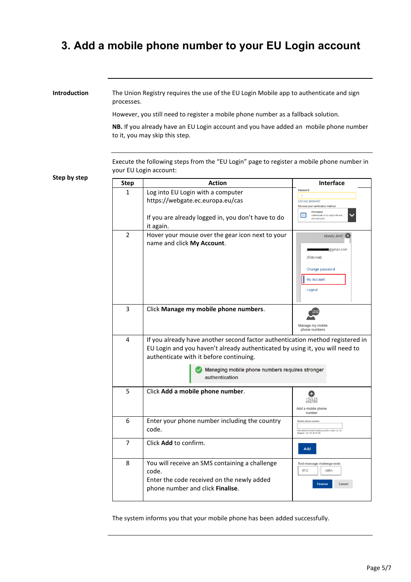## **3. Add a mobile phone number to your EU Login account**

**Introduction** The Union Registry requires the use of the EU Login Mobile app to authenticate and sign processes.

However, you still need to register a mobile phone number as a fallback solution.

**NB.** If you already have an EU Login account and you have added an mobile phone number to it, you may skip this step.

Execute the following steps from the "EU Login" page to register a mobile phone number in your EU Login account:

**Step by step**

| <b>Step</b>    | <b>Action</b>                                                                                                                                                                                                                                                                 | Interface                                                                                                 |
|----------------|-------------------------------------------------------------------------------------------------------------------------------------------------------------------------------------------------------------------------------------------------------------------------------|-----------------------------------------------------------------------------------------------------------|
| 1              | Log into EU Login with a computer<br>https://webgate.ec.europa.eu/cas                                                                                                                                                                                                         | Password<br>$\overline{\phantom{a}}$<br>Lost your password?<br>Choose your verification method            |
|                | If you are already logged in, you don't have to do<br>it again.                                                                                                                                                                                                               | Password<br>l m<br>Authenticate to EU Login with only<br>your password                                    |
| 2              | Hover your mouse over the gear icon next to your<br>name and click My Account.                                                                                                                                                                                                | Moody JANE<br><b>@gmail.com</b><br>(External)<br>Change password<br>My Account<br>Logout                  |
| 3              | Click Manage my mobile phone numbers.                                                                                                                                                                                                                                         | Manage my mobile<br>phone numbers                                                                         |
| 4              | If you already have another second factor authentication method registered in<br>EU Login and you haven't already authenticated by using it, you will need to<br>authenticate with it before continuing.<br>Managing mobile phone numbers requires stronger<br>authentication |                                                                                                           |
| 5              | Click Add a mobile phone number.                                                                                                                                                                                                                                              | Add a mobile phone<br>number                                                                              |
| 6              | Enter your phone number including the country<br>code.                                                                                                                                                                                                                        | Mobile phone number<br>International format including country code, e.g. for<br>Belgium: +32 123 45 67 89 |
| $\overline{7}$ | Click Add to confirm.                                                                                                                                                                                                                                                         | Add                                                                                                       |
| 8              | You will receive an SMS containing a challenge<br>code.<br>Enter the code received on the newly added<br>phone number and click Finalise.                                                                                                                                     | Text message challenge code<br>6TJ2<br>A6RA<br><b>Finalise</b><br>Cancel                                  |

The system informs you that your mobile phone has been added successfully.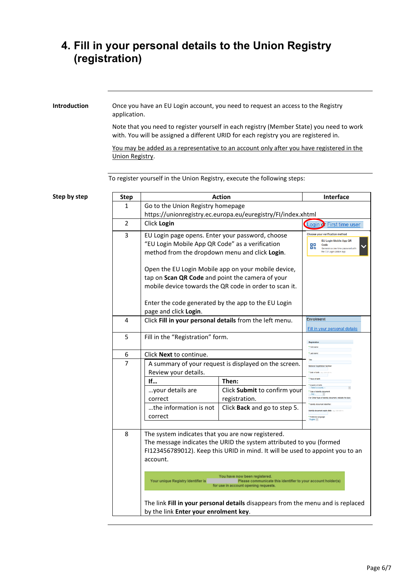## **4. Fill in your personal details to the Union Registry (registration)**

**Introduction** Once you have an EU Login account, you need to request an access to the Registry application.

> Note that you need to register yourself in each registry (Member State) you need to work with. You will be assigned a different URID for each registry you are registered in.

> You may be added as a representative to an account only after you have registered in the Union Registry.

To register yourself in the Union Registry, execute the following steps:

| Step by step | <b>Step</b>    | <b>Action</b>                                                                                                                                                                                                         |                                                                                                                                       | Interface                                                                                                                                     |
|--------------|----------------|-----------------------------------------------------------------------------------------------------------------------------------------------------------------------------------------------------------------------|---------------------------------------------------------------------------------------------------------------------------------------|-----------------------------------------------------------------------------------------------------------------------------------------------|
|              | 1              | Go to the Union Registry homepage                                                                                                                                                                                     |                                                                                                                                       |                                                                                                                                               |
|              |                |                                                                                                                                                                                                                       | https://unionregistry.ec.europa.eu/euregistry/FI/index.xhtml                                                                          |                                                                                                                                               |
|              | $\overline{2}$ | Click Login                                                                                                                                                                                                           |                                                                                                                                       | Login of First time user                                                                                                                      |
|              | 3              | EU Login page opens. Enter your password, choose<br>"EU Login Mobile App QR Code" as a verification<br>method from the dropdown menu and click Login.                                                                 |                                                                                                                                       | Choose your verification method<br>EU Login Mobile App QR<br>ᇛ<br>Code<br>口吹<br>Generate a one-time-password with<br>the EU Login Mobile app. |
|              |                | Open the EU Login Mobile app on your mobile device,<br>tap on Scan QR Code and point the camera of your<br>mobile device towards the QR code in order to scan it.                                                     |                                                                                                                                       |                                                                                                                                               |
|              |                | Enter the code generated by the app to the EU Login<br>page and click Login.                                                                                                                                          |                                                                                                                                       |                                                                                                                                               |
|              | 4              | Click Fill in your personal details from the left menu.                                                                                                                                                               |                                                                                                                                       | <b>Enrolment</b><br>Fill in your personal details                                                                                             |
|              | 5              | Fill in the "Registration" form.                                                                                                                                                                                      |                                                                                                                                       | Registrati<br>* First name                                                                                                                    |
|              | 6              | Click <b>Next</b> to continue.                                                                                                                                                                                        |                                                                                                                                       | * Last nam                                                                                                                                    |
|              | 7              | A summary of your request is displayed on the screen.<br>Review your details.                                                                                                                                         |                                                                                                                                       | National Registration Nur<br>* Date of birth:                                                                                                 |
|              |                | If                                                                                                                                                                                                                    | Then:                                                                                                                                 | Place of birth                                                                                                                                |
|              |                | your details are<br>correct                                                                                                                                                                                           | Click Submit to confirm your<br>registration.                                                                                         | Country of birth<br>Type of identity document<br>For 'Other' type of identity document, indicate                                              |
|              |                | the information is not<br>correct                                                                                                                                                                                     | Click Back and go to step 5.                                                                                                          | * Pente<br>English ~                                                                                                                          |
|              | 8              | The system indicates that you are now registered.<br>The message indicates the URID the system attributed to you (formed<br>FI123456789012). Keep this URID in mind. It will be used to appoint you to an<br>account. |                                                                                                                                       |                                                                                                                                               |
|              |                | Your unique Registry Identifier is                                                                                                                                                                                    | You have now been registered.<br>Please communicate this identifier to your account holder(s)<br>for use in account opening requests. |                                                                                                                                               |
|              |                | by the link Enter your enrolment key.                                                                                                                                                                                 | The link Fill in your personal details disappears from the menu and is replaced                                                       |                                                                                                                                               |